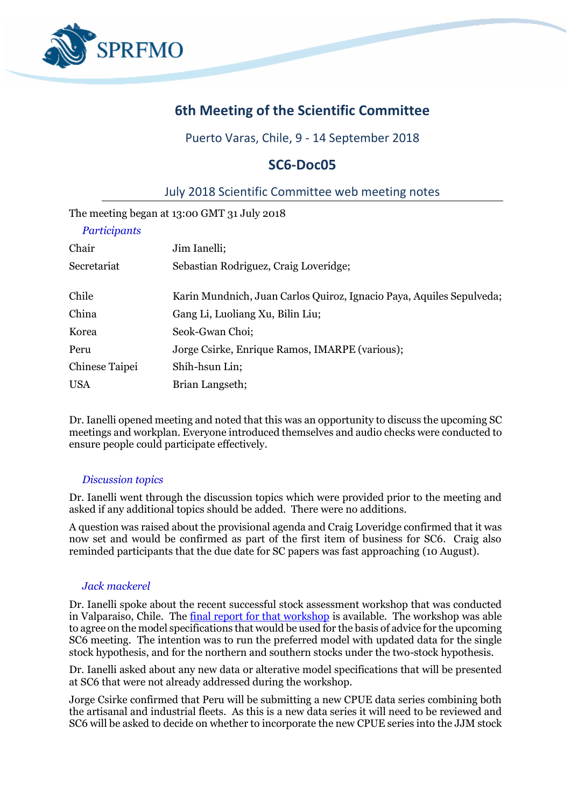

# **6th Meeting of the Scientific Committee**

## Puerto Varas, Chile, 9 - 14 September 2018

# **SC6-Doc05**

## July 2018 Scientific Committee web meeting notes

The meeting began at 13:00 GMT 31 July 2018

| Participants   |                                                                      |
|----------------|----------------------------------------------------------------------|
| Chair          | Jim Ianelli;                                                         |
| Secretariat    | Sebastian Rodriguez, Craig Loveridge;                                |
| Chile          | Karin Mundnich, Juan Carlos Quiroz, Ignacio Paya, Aquiles Sepulveda; |
| China          | Gang Li, Luoliang Xu, Bilin Liu;                                     |
| Korea          | Seok-Gwan Choi;                                                      |
| Peru           | Jorge Csirke, Enrique Ramos, IMARPE (various);                       |
| Chinese Taipei | Shih-hsun Lin;                                                       |
| <b>USA</b>     | Brian Langseth;                                                      |

Dr. Ianelli opened meeting and noted that this was an opportunity to discuss the upcoming SC meetings and workplan. Everyone introduced themselves and audio checks were conducted to ensure people could participate effectively.

#### *Discussion topics*

Dr. Ianelli went through the discussion topics which were provided prior to the meeting and asked if any additional topics should be added. There were no additions.

A question was raised about the provisional agenda and Craig Loveridge confirmed that it was now set and would be confirmed as part of the first item of business for SC6. Craig also reminded participants that the due date for SC papers was fast approaching (10 August).

### *Jack mackerel*

Dr. Ianelli spoke about the recent successful stock assessment workshop that was conducted in Valparaiso, Chile. The [final report for that workshop](http://www.sprfmo.int/assets/SCW6-CJM-assessment/Report-of-Jack-mackerel-stock-assessment-workshop-SCW6.pdf) is available. The workshop was able to agree on the model specifications that would be used for the basis of advice for the upcoming SC6 meeting. The intention was to run the preferred model with updated data for the single stock hypothesis, and for the northern and southern stocks under the two-stock hypothesis.

Dr. Ianelli asked about any new data or alterative model specifications that will be presented at SC6 that were not already addressed during the workshop.

Jorge Csirke confirmed that Peru will be submitting a new CPUE data series combining both the artisanal and industrial fleets. As this is a new data series it will need to be reviewed and SC6 will be asked to decide on whether to incorporate the new CPUE series into the JJM stock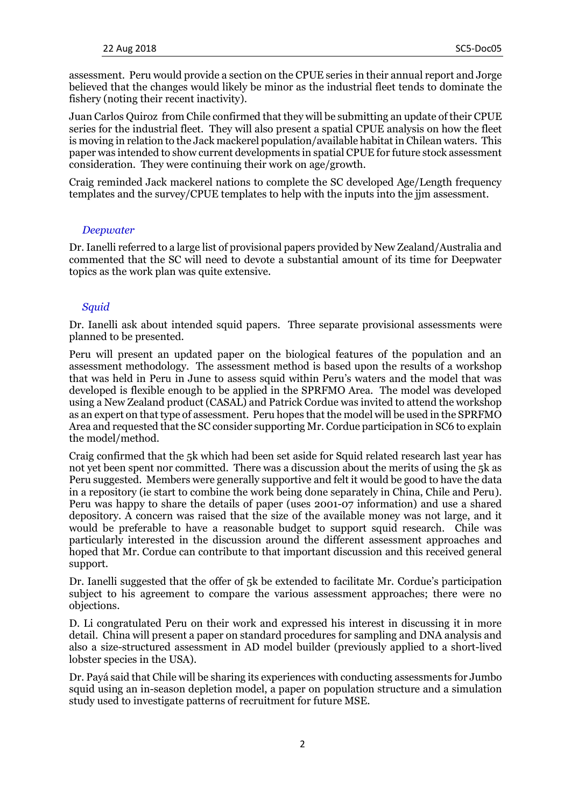assessment. Peru would provide a section on the CPUE series in their annual report and Jorge believed that the changes would likely be minor as the industrial fleet tends to dominate the fishery (noting their recent inactivity).

Juan Carlos Quiroz from Chile confirmed that they will be submitting an update of their CPUE series for the industrial fleet. They will also present a spatial CPUE analysis on how the fleet is moving in relation to the Jack mackerel population/available habitat in Chilean waters. This paper was intended to show current developments in spatial CPUE for future stock assessment consideration. They were continuing their work on age/growth.

Craig reminded Jack mackerel nations to complete the SC developed Age/Length frequency templates and the survey/CPUE templates to help with the inputs into the jjm assessment.

#### *Deepwater*

Dr. Ianelli referred to a large list of provisional papers provided by New Zealand/Australia and commented that the SC will need to devote a substantial amount of its time for Deepwater topics as the work plan was quite extensive.

#### *Squid*

Dr. Ianelli ask about intended squid papers. Three separate provisional assessments were planned to be presented.

Peru will present an updated paper on the biological features of the population and an assessment methodology. The assessment method is based upon the results of a workshop that was held in Peru in June to assess squid within Peru's waters and the model that was developed is flexible enough to be applied in the SPRFMO Area. The model was developed using a New Zealand product (CASAL) and Patrick Cordue was invited to attend the workshop as an expert on that type of assessment. Peru hopes that the model will be used in the SPRFMO Area and requested that the SC consider supporting Mr. Cordue participation in SC6 to explain the model/method.

Craig confirmed that the 5k which had been set aside for Squid related research last year has not yet been spent nor committed. There was a discussion about the merits of using the 5k as Peru suggested. Members were generally supportive and felt it would be good to have the data in a repository (ie start to combine the work being done separately in China, Chile and Peru). Peru was happy to share the details of paper (uses 2001-07 information) and use a shared depository. A concern was raised that the size of the available money was not large, and it would be preferable to have a reasonable budget to support squid research. Chile was particularly interested in the discussion around the different assessment approaches and hoped that Mr. Cordue can contribute to that important discussion and this received general support.

Dr. Ianelli suggested that the offer of 5k be extended to facilitate Mr. Cordue's participation subject to his agreement to compare the various assessment approaches; there were no objections.

D. Li congratulated Peru on their work and expressed his interest in discussing it in more detail. China will present a paper on standard procedures for sampling and DNA analysis and also a size-structured assessment in AD model builder (previously applied to a short-lived lobster species in the USA).

Dr. Payá said that Chile will be sharing its experiences with conducting assessments for Jumbo squid using an in-season depletion model, a paper on population structure and a simulation study used to investigate patterns of recruitment for future MSE.